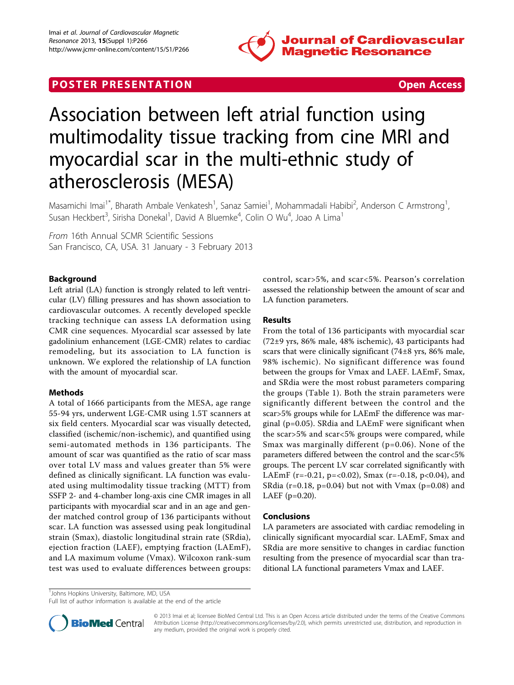

## **POSTER PRESENTATION CONSUMING THE SECOND CONSUMING THE SECOND CONSUMING THE SECOND CONSUMING THE SECOND CONSUMING THE SECOND CONSUMING THE SECOND CONSUMING THE SECOND CONSUMING THE SECOND CONSUMING THE SECOND CONSUMING**



# Association between left atrial function using multimodality tissue tracking from cine MRI and myocardial scar in the multi-ethnic study of atherosclerosis (MESA)

Masamichi Imai<sup>1\*</sup>, Bharath Ambale Venkatesh<sup>1</sup>, Sanaz Samiei<sup>1</sup>, Mohammadali Habibi<sup>2</sup>, Anderson C Armstrong<sup>1</sup> , Susan Heckbert<sup>3</sup>, Sirisha Donekal<sup>1</sup>, David A Bluemke<sup>4</sup>, Colin O Wu<sup>4</sup>, Joao A Lima<sup>1</sup>

From 16th Annual SCMR Scientific Sessions San Francisco, CA, USA. 31 January - 3 February 2013

### Background

Left atrial (LA) function is strongly related to left ventricular (LV) filling pressures and has shown association to cardiovascular outcomes. A recently developed speckle tracking technique can assess LA deformation using CMR cine sequences. Myocardial scar assessed by late gadolinium enhancement (LGE-CMR) relates to cardiac remodeling, but its association to LA function is unknown. We explored the relationship of LA function with the amount of myocardial scar.

#### Methods

A total of 1666 participants from the MESA, age range 55-94 yrs, underwent LGE-CMR using 1.5T scanners at six field centers. Myocardial scar was visually detected, classified (ischemic/non-ischemic), and quantified using semi-automated methods in 136 participants. The amount of scar was quantified as the ratio of scar mass over total LV mass and values greater than 5% were defined as clinically significant. LA function was evaluated using multimodality tissue tracking (MTT) from SSFP 2- and 4-chamber long-axis cine CMR images in all participants with myocardial scar and in an age and gender matched control group of 136 participants without scar. LA function was assessed using peak longitudinal strain (Smax), diastolic longitudinal strain rate (SRdia), ejection fraction (LAEF), emptying fraction (LAEmF), and LA maximum volume (Vmax). Wilcoxon rank-sum test was used to evaluate differences between groups: control, scar>5%, and scar<5%. Pearson's correlation assessed the relationship between the amount of scar and LA function parameters.

#### Results

From the total of 136 participants with myocardial scar (72±9 yrs, 86% male, 48% ischemic), 43 participants had scars that were clinically significant (74±8 yrs, 86% male, 98% ischemic). No significant difference was found between the groups for Vmax and LAEF. LAEmF, Smax, and SRdia were the most robust parameters comparing the groups (Table [1](#page-1-0)). Both the strain parameters were significantly different between the control and the scar>5% groups while for LAEmF the difference was marginal (p=0.05). SRdia and LAEmF were significant when the scar>5% and scar<5% groups were compared, while Smax was marginally different (p=0.06). None of the parameters differed between the control and the scar<5% groups. The percent LV scar correlated significantly with LAEmF (r=-0.21, p=<0.02), Smax (r=-0.18, p<0.04), and SRdia ( $r=0.18$ ,  $p=0.04$ ) but not with Vmax ( $p=0.08$ ) and LAEF (p=0.20).

#### Conclusions

LA parameters are associated with cardiac remodeling in clinically significant myocardial scar. LAEmF, Smax and SRdia are more sensitive to changes in cardiac function resulting from the presence of myocardial scar than traditional LA functional parameters Vmax and LAEF.

<sup>1</sup>Johns Hopkins University, Baltimore, MD, USA

Full list of author information is available at the end of the article



© 2013 Imai et al; licensee BioMed Central Ltd. This is an Open Access article distributed under the terms of the Creative Commons Attribution License [\(http://creativecommons.org/licenses/by/2.0](http://creativecommons.org/licenses/by/2.0)), which permits unrestricted use, distribution, and reproduction in any medium, provided the original work is properly cited.